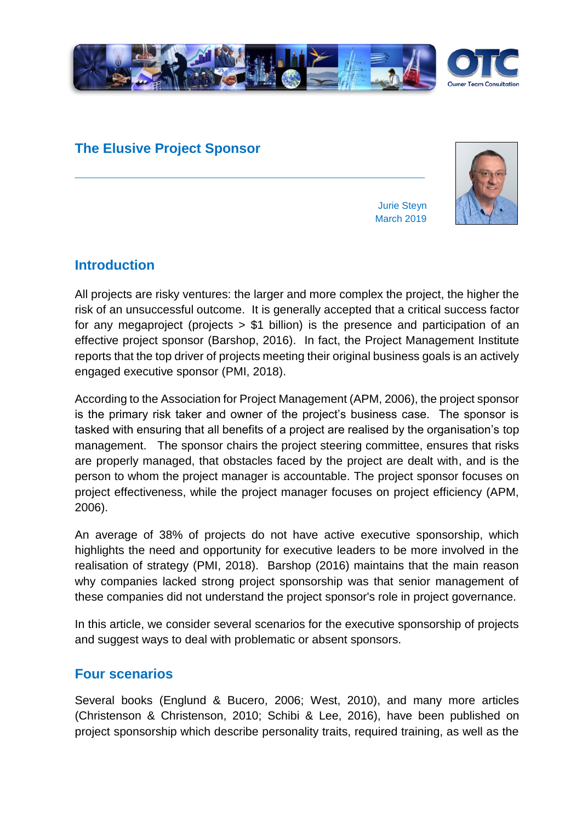

**\_\_\_\_\_\_\_\_\_\_\_\_\_\_\_\_\_\_\_\_\_\_\_\_\_\_\_\_\_\_\_\_\_\_\_\_\_\_\_\_\_\_\_\_\_\_**

## **The Elusive Project Sponsor**



Jurie Steyn March 2019

## **Introduction**

All projects are risky ventures: the larger and more complex the project, the higher the risk of an unsuccessful outcome. It is generally accepted that a critical success factor for any megaproject (projects > \$1 billion) is the presence and participation of an effective project sponsor (Barshop, 2016). In fact, the Project Management Institute reports that the top driver of projects meeting their original business goals is an actively engaged executive sponsor (PMI, 2018).

According to the Association for Project Management (APM, 2006), the project sponsor is the primary risk taker and owner of the project's business case. The sponsor is tasked with ensuring that all benefits of a project are realised by the organisation's top management. The sponsor chairs the project steering committee, ensures that risks are properly managed, that obstacles faced by the project are dealt with, and is the person to whom the project manager is accountable. The project sponsor focuses on project effectiveness, while the project manager focuses on project efficiency (APM, 2006).

An average of 38% of projects do not have active executive sponsorship, which highlights the need and opportunity for executive leaders to be more involved in the realisation of strategy (PMI, 2018). Barshop (2016) maintains that the main reason why companies lacked strong project sponsorship was that senior management of these companies did not understand the project sponsor's role in project governance.

In this article, we consider several scenarios for the executive sponsorship of projects and suggest ways to deal with problematic or absent sponsors.

#### **Four scenarios**

Several books (Englund & Bucero, 2006; West, 2010), and many more articles (Christenson & Christenson, 2010; Schibi & Lee, 2016), have been published on project sponsorship which describe personality traits, required training, as well as the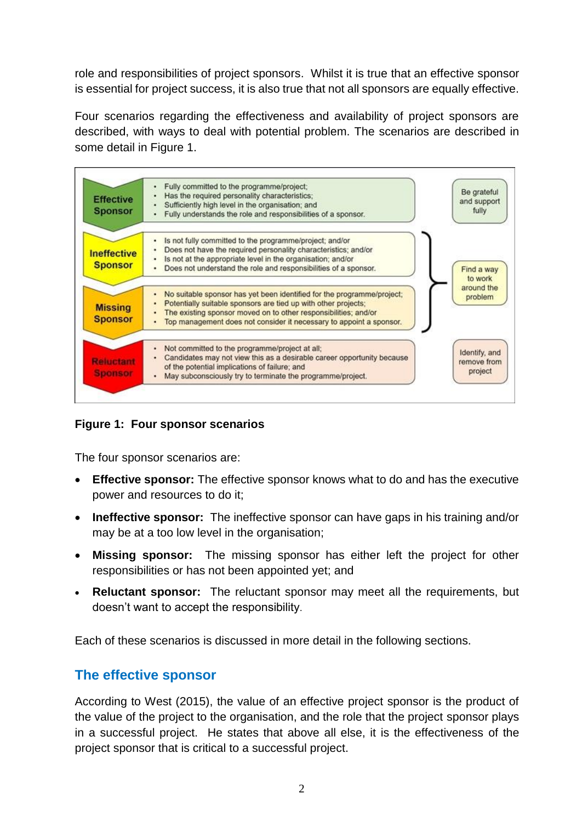role and responsibilities of project sponsors. Whilst it is true that an effective sponsor is essential for project success, it is also true that not all sponsors are equally effective.

Four scenarios regarding the effectiveness and availability of project sponsors are described, with ways to deal with potential problem. The scenarios are described in some detail in Figure 1.



**Figure 1: Four sponsor scenarios**

The four sponsor scenarios are:

- **Effective sponsor:** The effective sponsor knows what to do and has the executive power and resources to do it;
- **Ineffective sponsor:** The ineffective sponsor can have gaps in his training and/or may be at a too low level in the organisation;
- **Missing sponsor:** The missing sponsor has either left the project for other responsibilities or has not been appointed yet; and
- **Reluctant sponsor:** The reluctant sponsor may meet all the requirements, but doesn't want to accept the responsibility.

Each of these scenarios is discussed in more detail in the following sections.

#### **The effective sponsor**

According to West (2015), the value of an effective project sponsor is the product of the value of the project to the organisation, and the role that the project sponsor plays in a successful project. He states that above all else, it is the effectiveness of the project sponsor that is critical to a successful project.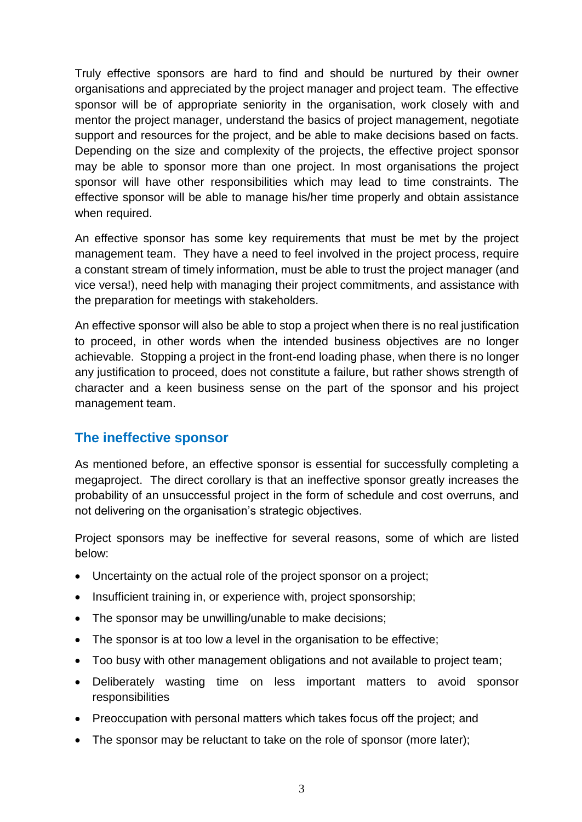Truly effective sponsors are hard to find and should be nurtured by their owner organisations and appreciated by the project manager and project team. The effective sponsor will be of appropriate seniority in the organisation, work closely with and mentor the project manager, understand the basics of project management, negotiate support and resources for the project, and be able to make decisions based on facts. Depending on the size and complexity of the projects, the effective project sponsor may be able to sponsor more than one project. In most organisations the project sponsor will have other responsibilities which may lead to time constraints. The effective sponsor will be able to manage his/her time properly and obtain assistance when required.

An effective sponsor has some key requirements that must be met by the project management team. They have a need to feel involved in the project process, require a constant stream of timely information, must be able to trust the project manager (and vice versa!), need help with managing their project commitments, and assistance with the preparation for meetings with stakeholders.

An effective sponsor will also be able to stop a project when there is no real justification to proceed, in other words when the intended business objectives are no longer achievable. Stopping a project in the front-end loading phase, when there is no longer any justification to proceed, does not constitute a failure, but rather shows strength of character and a keen business sense on the part of the sponsor and his project management team.

## **The ineffective sponsor**

As mentioned before, an effective sponsor is essential for successfully completing a megaproject. The direct corollary is that an ineffective sponsor greatly increases the probability of an unsuccessful project in the form of schedule and cost overruns, and not delivering on the organisation's strategic objectives.

Project sponsors may be ineffective for several reasons, some of which are listed below:

- Uncertainty on the actual role of the project sponsor on a project;
- Insufficient training in, or experience with, project sponsorship;
- The sponsor may be unwilling/unable to make decisions;
- The sponsor is at too low a level in the organisation to be effective;
- Too busy with other management obligations and not available to project team;
- Deliberately wasting time on less important matters to avoid sponsor responsibilities
- Preoccupation with personal matters which takes focus off the project; and
- The sponsor may be reluctant to take on the role of sponsor (more later);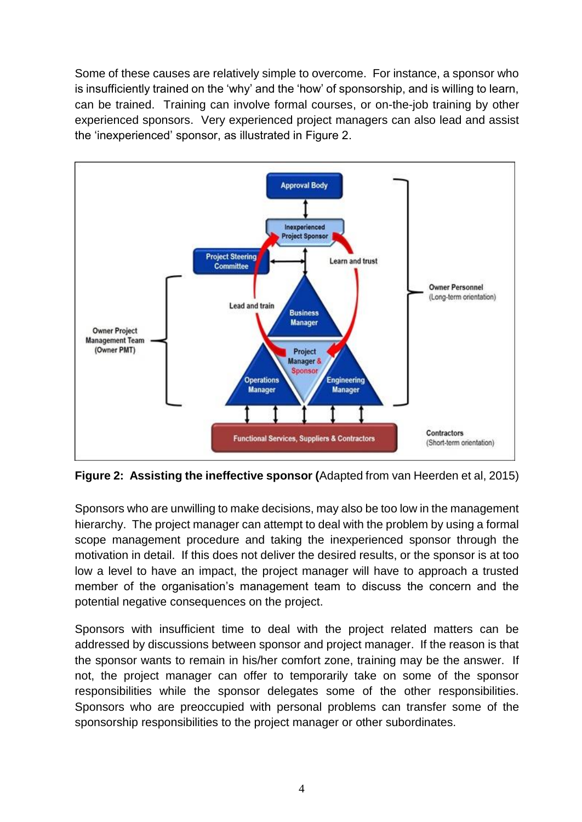Some of these causes are relatively simple to overcome. For instance, a sponsor who is insufficiently trained on the 'why' and the 'how' of sponsorship, and is willing to learn, can be trained. Training can involve formal courses, or on-the-job training by other experienced sponsors. Very experienced project managers can also lead and assist the 'inexperienced' sponsor, as illustrated in Figure 2.



**Figure 2: Assisting the ineffective sponsor (**Adapted from van Heerden et al, 2015)

Sponsors who are unwilling to make decisions, may also be too low in the management hierarchy. The project manager can attempt to deal with the problem by using a formal scope management procedure and taking the inexperienced sponsor through the motivation in detail. If this does not deliver the desired results, or the sponsor is at too low a level to have an impact, the project manager will have to approach a trusted member of the organisation's management team to discuss the concern and the potential negative consequences on the project.

Sponsors with insufficient time to deal with the project related matters can be addressed by discussions between sponsor and project manager. If the reason is that the sponsor wants to remain in his/her comfort zone, training may be the answer. If not, the project manager can offer to temporarily take on some of the sponsor responsibilities while the sponsor delegates some of the other responsibilities. Sponsors who are preoccupied with personal problems can transfer some of the sponsorship responsibilities to the project manager or other subordinates.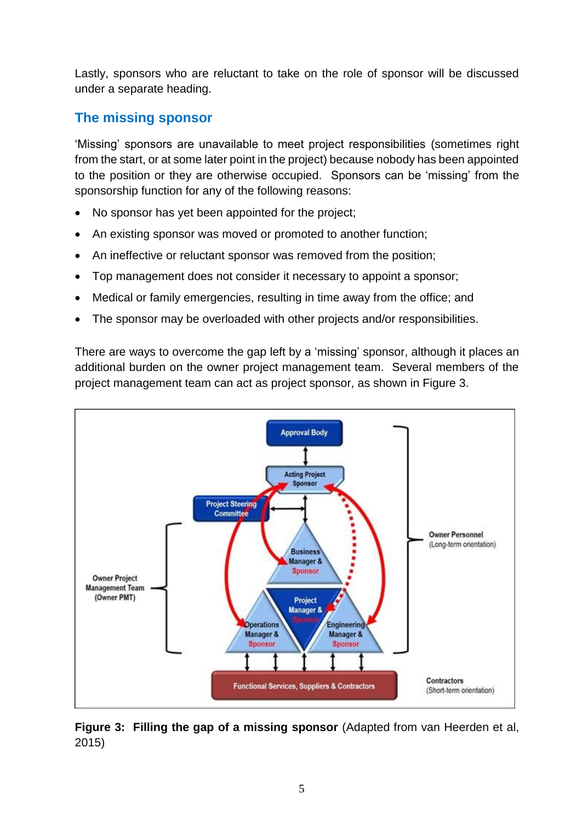Lastly, sponsors who are reluctant to take on the role of sponsor will be discussed under a separate heading.

# **The missing sponsor**

'Missing' sponsors are unavailable to meet project responsibilities (sometimes right from the start, or at some later point in the project) because nobody has been appointed to the position or they are otherwise occupied. Sponsors can be 'missing' from the sponsorship function for any of the following reasons:

- No sponsor has yet been appointed for the project;
- An existing sponsor was moved or promoted to another function;
- An ineffective or reluctant sponsor was removed from the position;
- Top management does not consider it necessary to appoint a sponsor;
- Medical or family emergencies, resulting in time away from the office; and
- The sponsor may be overloaded with other projects and/or responsibilities.

There are ways to overcome the gap left by a 'missing' sponsor, although it places an additional burden on the owner project management team. Several members of the project management team can act as project sponsor, as shown in Figure 3.



**Figure 3: Filling the gap of a missing sponsor** (Adapted from van Heerden et al, 2015)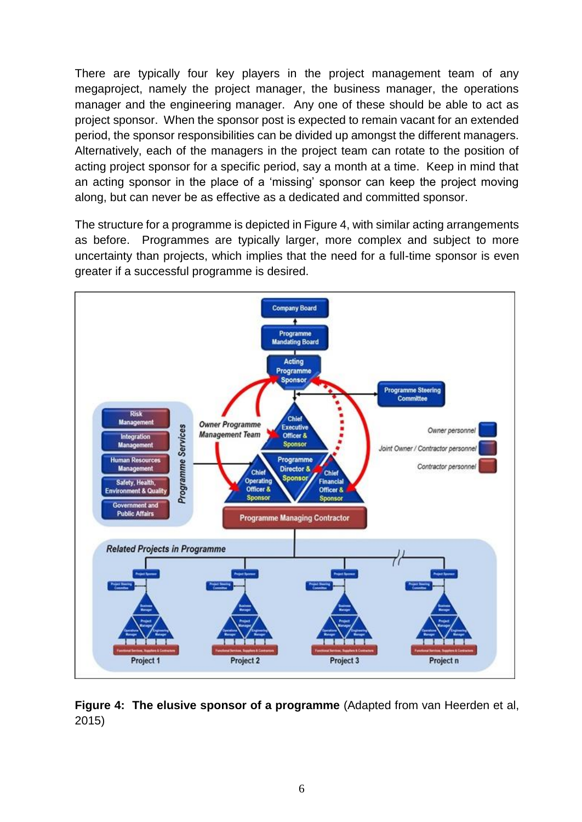There are typically four key players in the project management team of any megaproject, namely the project manager, the business manager, the operations manager and the engineering manager. Any one of these should be able to act as project sponsor. When the sponsor post is expected to remain vacant for an extended period, the sponsor responsibilities can be divided up amongst the different managers. Alternatively, each of the managers in the project team can rotate to the position of acting project sponsor for a specific period, say a month at a time. Keep in mind that an acting sponsor in the place of a 'missing' sponsor can keep the project moving along, but can never be as effective as a dedicated and committed sponsor.

The structure for a programme is depicted in Figure 4, with similar acting arrangements as before. Programmes are typically larger, more complex and subject to more uncertainty than projects, which implies that the need for a full-time sponsor is even greater if a successful programme is desired.



**Figure 4: The elusive sponsor of a programme** (Adapted from van Heerden et al, 2015)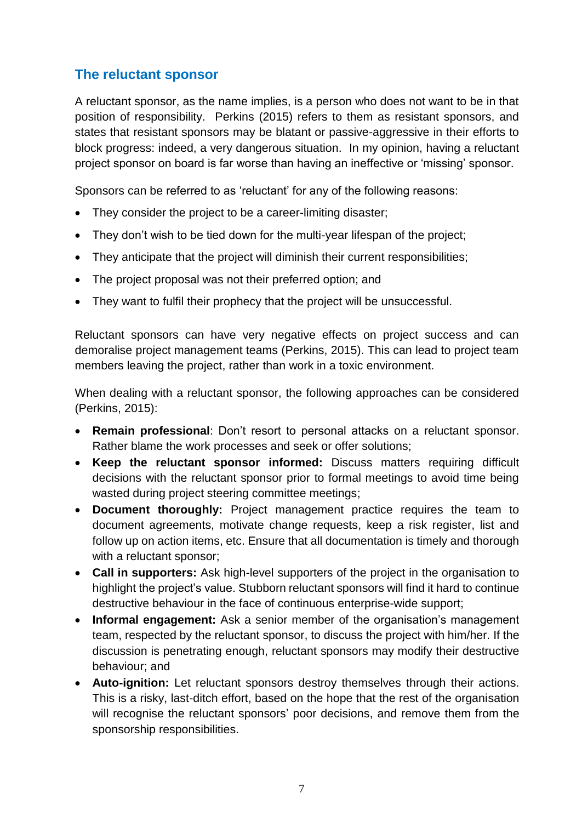# **The reluctant sponsor**

A reluctant sponsor, as the name implies, is a person who does not want to be in that position of responsibility. Perkins (2015) refers to them as resistant sponsors, and states that resistant sponsors may be blatant or passive-aggressive in their efforts to block progress: indeed, a very dangerous situation. In my opinion, having a reluctant project sponsor on board is far worse than having an ineffective or 'missing' sponsor.

Sponsors can be referred to as 'reluctant' for any of the following reasons:

- They consider the project to be a career-limiting disaster;
- They don't wish to be tied down for the multi-year lifespan of the project;
- They anticipate that the project will diminish their current responsibilities;
- The project proposal was not their preferred option; and
- They want to fulfil their prophecy that the project will be unsuccessful.

Reluctant sponsors can have very negative effects on project success and can demoralise project management teams (Perkins, 2015). This can lead to project team members leaving the project, rather than work in a toxic environment.

When dealing with a reluctant sponsor, the following approaches can be considered (Perkins, 2015):

- **Remain professional**: Don't resort to personal attacks on a reluctant sponsor. Rather blame the work processes and seek or offer solutions;
- **Keep the reluctant sponsor informed:** Discuss matters requiring difficult decisions with the reluctant sponsor prior to formal meetings to avoid time being wasted during project steering committee meetings;
- **Document thoroughly:** Project management practice requires the team to document agreements, motivate change requests, keep a risk register, list and follow up on action items, etc. Ensure that all documentation is timely and thorough with a reluctant sponsor;
- **Call in supporters:** Ask high-level supporters of the project in the organisation to highlight the project's value. Stubborn reluctant sponsors will find it hard to continue destructive behaviour in the face of continuous enterprise-wide support;
- **Informal engagement:** Ask a senior member of the organisation's management team, respected by the reluctant sponsor, to discuss the project with him/her. If the discussion is penetrating enough, reluctant sponsors may modify their destructive behaviour; and
- **Auto-ignition:** Let reluctant sponsors destroy themselves through their actions. This is a risky, last-ditch effort, based on the hope that the rest of the organisation will recognise the reluctant sponsors' poor decisions, and remove them from the sponsorship responsibilities.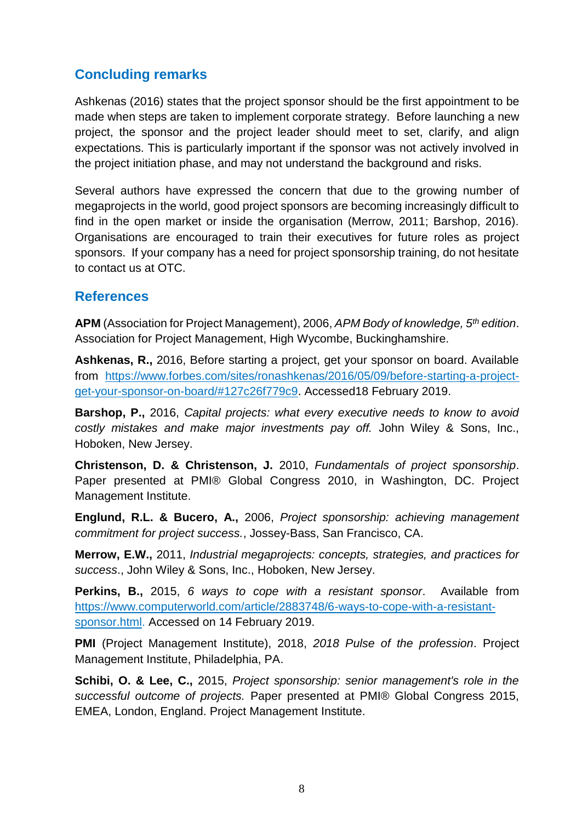# **Concluding remarks**

Ashkenas (2016) states that the project sponsor should be the first appointment to be made when steps are taken to implement corporate strategy. Before launching a new project, the sponsor and the project leader should meet to set, clarify, and align expectations. This is particularly important if the sponsor was not actively involved in the project initiation phase, and may not understand the background and risks.

Several authors have expressed the concern that due to the growing number of megaprojects in the world, good project sponsors are becoming increasingly difficult to find in the open market or inside the organisation (Merrow, 2011; Barshop, 2016). Organisations are encouraged to train their executives for future roles as project sponsors. If your company has a need for project sponsorship training, do not hesitate to contact us at OTC.

#### **References**

**APM** (Association for Project Management), 2006, *APM Body of knowledge, 5th edition*. Association for Project Management, High Wycombe, Buckinghamshire.

**Ashkenas, R.,** 2016, Before starting a project, get your sponsor on board. Available from [https://www.forbes.com/sites/ronashkenas/2016/05/09/before-starting-a-project](https://www.forbes.com/sites/ronashkenas/2016/05/09/before-starting-a-project-get-your-sponsor-on-board/#127c26f779c9)[get-your-sponsor-on-board/#127c26f779c9.](https://www.forbes.com/sites/ronashkenas/2016/05/09/before-starting-a-project-get-your-sponsor-on-board/#127c26f779c9) Accessed18 February 2019.

**Barshop, P.,** 2016, *Capital projects: what every executive needs to know to avoid costly mistakes and make major investments pay off.* John Wiley & Sons, Inc., Hoboken, New Jersey.

**Christenson, D. & Christenson, J.** 2010, *Fundamentals of project sponsorship*. Paper presented at PMI® Global Congress 2010, in Washington, DC. Project Management Institute.

**Englund, R.L. & Bucero, A.,** 2006, *Project sponsorship: achieving management commitment for project success.*, Jossey-Bass, San Francisco, CA.

**Merrow, E.W.,** 2011, *Industrial megaprojects: concepts, strategies, and practices for success*., John Wiley & Sons, Inc., Hoboken, New Jersey.

**Perkins, B.,** 2015, *6 ways to cope with a resistant sponsor*. Available from [https://www.computerworld.com/article/2883748/6-ways-to-cope-with-a-resistant](https://www.computerworld.com/article/2883748/6-ways-to-cope-with-a-resistant-sponsor.html)[sponsor.html.](https://www.computerworld.com/article/2883748/6-ways-to-cope-with-a-resistant-sponsor.html) Accessed on 14 February 2019.

**PMI** (Project Management Institute), 2018, *2018 Pulse of the profession*. Project Management Institute, Philadelphia, PA.

**Schibi, O. & Lee, C.,** 2015, *Project sponsorship: senior management's role in the successful outcome of projects.* Paper presented at PMI® Global Congress 2015, EMEA, London, England. Project Management Institute.